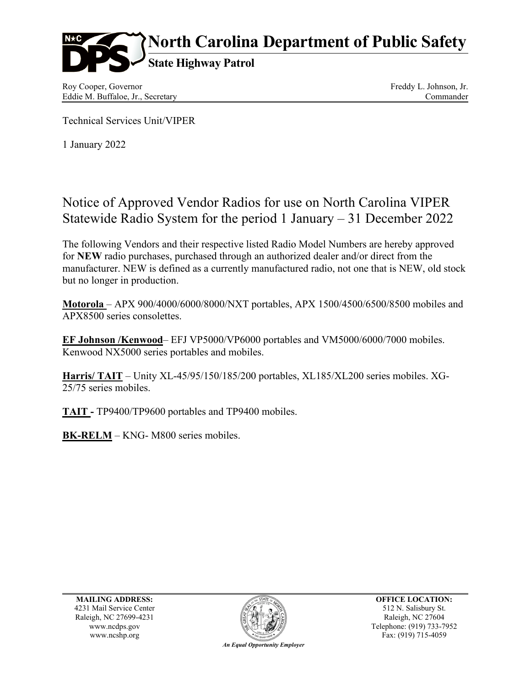

Roy Cooper, Governor Eddie M. Buffaloe, Jr., Secretary Freddy L. Johnson, Jr. Commander

Technical Services Unit/VIPER

1 January 2022

## Notice of Approved Vendor Radios for use on North Carolina VIPER Statewide Radio System for the period 1 January – 31 December 2022

The following Vendors and their respective listed Radio Model Numbers are hereby approved for **NEW** radio purchases, purchased through an authorized dealer and/or direct from the manufacturer. NEW is defined as a currently manufactured radio, not one that is NEW, old stock but no longer in production.

**Motorola** – APX 900/4000/6000/8000/NXT portables, APX 1500/4500/6500/8500 mobiles and APX8500 series consolettes.

**EF Johnson /Kenwood**– EFJ VP5000/VP6000 portables and VM5000/6000/7000 mobiles. Kenwood NX5000 series portables and mobiles.

**Harris/ TAIT** – Unity XL-45/95/150/185/200 portables, XL185/XL200 series mobiles. XG-25/75 series mobiles.

**TAIT -** TP9400/TP9600 portables and TP9400 mobiles.

**BK-RELM** – KNG- M800 series mobiles.

**MAILING ADDRESS:** 4231 Mail Service Center Raleigh, NC 27699-4231 www.ncdps.gov



**OFFICE LOCATION:** 512 N. Salisbury St. Raleigh, NC 27604 Telephone: (919) 733-7952 Fax: (919) 715-4059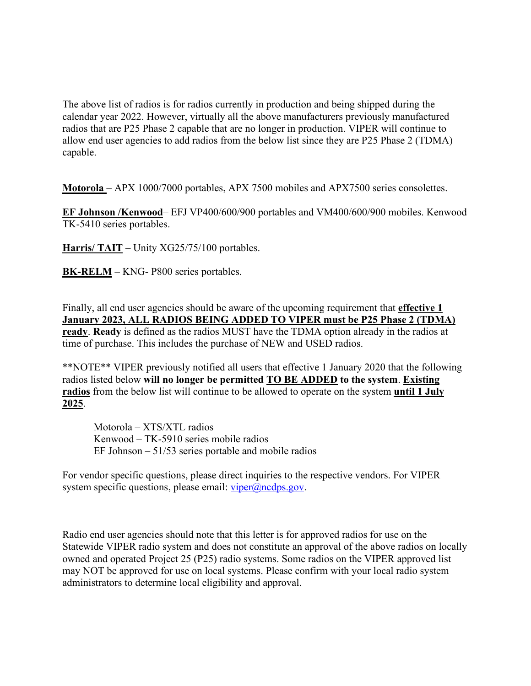The above list of radios is for radios currently in production and being shipped during the calendar year 2022. However, virtually all the above manufacturers previously manufactured radios that are P25 Phase 2 capable that are no longer in production. VIPER will continue to allow end user agencies to add radios from the below list since they are P25 Phase 2 (TDMA) capable.

**Motorola** – APX 1000/7000 portables, APX 7500 mobiles and APX7500 series consolettes.

**EF Johnson /Kenwood**– EFJ VP400/600/900 portables and VM400/600/900 mobiles. Kenwood TK-5410 series portables.

**Harris/ TAIT** – Unity XG25/75/100 portables.

**BK-RELM** – KNG- P800 series portables.

Finally, all end user agencies should be aware of the upcoming requirement that **effective 1 January 2023, ALL RADIOS BEING ADDED TO VIPER must be P25 Phase 2 (TDMA) ready**. **Ready** is defined as the radios MUST have the TDMA option already in the radios at time of purchase. This includes the purchase of NEW and USED radios.

\*\*NOTE\*\* VIPER previously notified all users that effective 1 January 2020 that the following radios listed below **will no longer be permitted TO BE ADDED to the system**. **Existing radios** from the below list will continue to be allowed to operate on the system **until 1 July 2025**.

Motorola – XTS/XTL radios Kenwood – TK-5910 series mobile radios EF Johnson – 51/53 series portable and mobile radios

For vendor specific questions, please direct inquiries to the respective vendors. For VIPER system specific questions, please email:  $viper@ncdps.gov$ .

Radio end user agencies should note that this letter is for approved radios for use on the Statewide VIPER radio system and does not constitute an approval of the above radios on locally owned and operated Project 25 (P25) radio systems. Some radios on the VIPER approved list may NOT be approved for use on local systems. Please confirm with your local radio system administrators to determine local eligibility and approval.